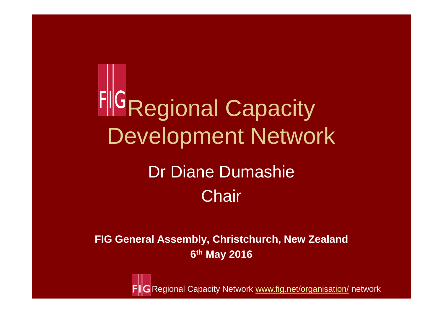**FIG Regional Capacity** Development Network

## Dr Diane Dumashie**Chair**

**FIG General Assembly, Christchurch, New Zealand6th May 2016**

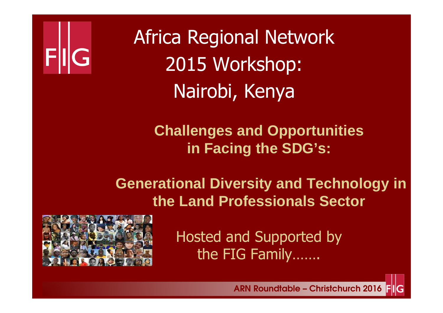

Africa Regional Network2015 Workshop: Nairobi, Kenya

> **Challenges and Opportunities in Facing the SDG's:**

**Generational Diversity and Technology in the Land Professionals Sector** 



Hosted and Supported by the FIG Family…….

ARN Roundtable – Christchurch 2016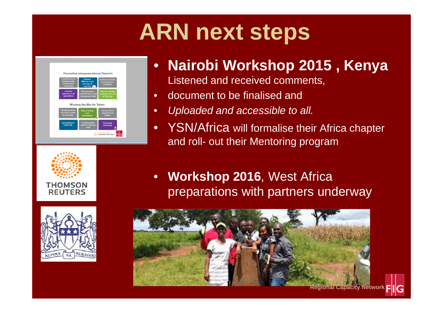# **ARN next steps**







#### •**Nairobi Workshop 2015 , Kenya**

Listened and received comments,

- •document to be finalised and
- •Uploaded and accessible to all.
- •YSN/Africa will formalise their Africa chapter and roll- out their Mentoring program
- • **Workshop 2016**, West Africa preparations with partners underway

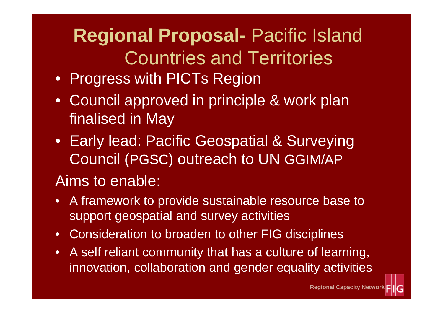## **Regional Proposal-** Pacific Island Countries and Territories

- Progress with PICTs Region
- Council approved in principle & work plan finalised in May
- Early lead: Pacific Geospatial & Surveying Council (PGSC) outreach to UN GGIM/AP

## Aims to enable:

- A framework to provide sustainable resource base to support geospatial and survey activities
- Consideration to broaden to other FIG disciplines
- A self reliant community that has a culture of learning, innovation, collaboration and gender equality activities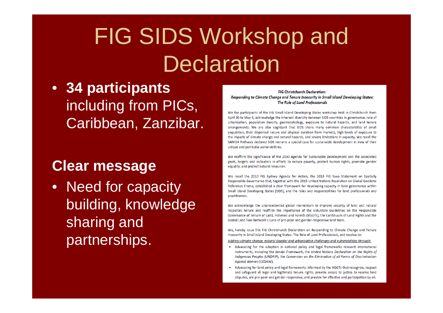# FIG SIDS Workshop and **Declaration**

• **34 participants**  including from PICs, Caribbean, Zanzibar.

### **Clear message**

• Need for capacity building, knowledge sharing and partnerships.

#### **FIG Christchurch Declaration:** Responding to Climate Change and Tenure Insecurity in Small Island Developing States: The Role of Land Professionals

We the participants of the FIG Small Island Developing States workshop held in Christchurch from April 30 to May 4, acknowledge the inherent diversity between SIDS countries in governance, rate of urbanisation, population density, geomorphology, exposure to natural hazards, and land tenure arrangements. We are also cognizant that SIDS share many common characteristics of small population, their dispersed nature and physical isolation from markets, high levels of exposure to the impacts of climate change and natural hazards, and severe limitations in capacity. We recall the SAMOA Pathway declared SIDS remains a special case for sustainable development in view of their unique and particular vulnerabilities.

We reaffirm the significance of the 2030 Agenda for Sustainable Development and the associated goals, targets and indicators in efforts to reduce poverty, protect human rights, promote gender equality, and protect natural resources.

We recall the 2010 FIG Sydney Agenda for Action, the 2013 FIG Suva Statement on Spatially Responsible Governance that, together with the 2015 United Nations Resolution on Global Geodetic Reference Frame, established a clear framework for developing capacity in land governance within Small Island Developing States (SIDS), and the roles and responsibilities for land professionals and practitioners.

We acknowledge the unprecedented global momentum to improve security of land and natural resources tenure and reaffirm the importance of the Voluntary Guidelines on the Responsible Governance of Tenure of Land, Fisheries and Forests (VGGTs), the Continuum of Land Rights and the Global Land Tool Network's suite of pro-poor and gender-responsive land tools.

We, hereby issue this FIG Christchurch Declaration on Responding to Climate Change and Tenure Insecurity in Small Island Developing States: The Role of Land Professionals, and resolve to:

Address climate change, natural disaster and urbanisation challenges and vulnerabilities through:

- Advocating for the adoption in national policy and legal frameworks relevant international instruments, including the Sendai Framework, the United Nations Declaration on the Rights of Indigenous Peoples (UNDRIP), the Convention on the Elimination of all Forms of Discrimination Against Women (CEDAW).
- Advocating for land policy and legal frameworks informed by the VGGTs that recognise, respect and safeguard all legal and legitimate tenure rights, provide access to justice to resolve land disputes, are pro-poor and gender-responsive, and provide for effective and participation by all.